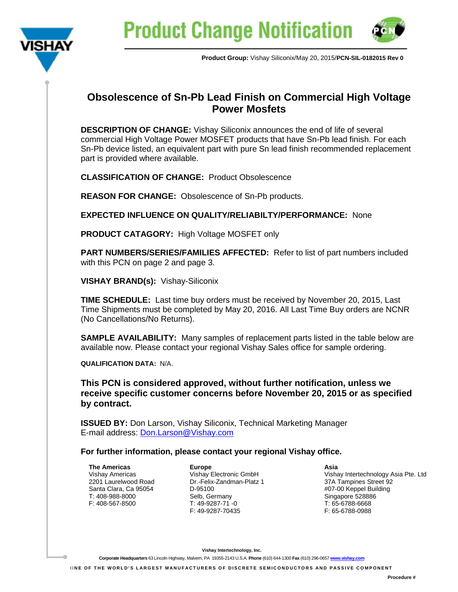



**Product Group:** Vishay Siliconix/May 20, 2015/**PCN-SIL-0182015 Rev 0**

## **Obsolescence of Sn-Pb Lead Finish on Commercial High Voltage Power Mosfets**

**DESCRIPTION OF CHANGE:** Vishay Siliconix announces the end of life of several commercial High Voltage Power MOSFET products that have Sn-Pb lead finish. For each Sn-Pb device listed, an equivalent part with pure Sn lead finish recommended replacement part is provided where available.

**CLASSIFICATION OF CHANGE:** Product Obsolescence

**REASON FOR CHANGE:** Obsolescence of Sn-Pb products.

**EXPECTED INFLUENCE ON QUALITY/RELIABILTY/PERFORMANCE:** None

**PRODUCT CATAGORY:** High Voltage MOSFET only

**PART NUMBERS/SERIES/FAMILIES AFFECTED:** Refer to list of part numbers included with this PCN on page 2 and page 3.

**VISHAY BRAND(s):** Vishay-Siliconix

**TIME SCHEDULE:** Last time buy orders must be received by November 20, 2015, Last Time Shipments must be completed by May 20, 2016. All Last Time Buy orders are NCNR (No Cancellations/No Returns).

**SAMPLE AVAILABILITY:** Many samples of replacement parts listed in the table below are available now. Please contact your regional Vishay Sales office for sample ordering.

**QUALIFICATION DATA:** N/A.

**This PCN is considered approved, without further notification, unless we receive specific customer concerns before November 20, 2015 or as specified by contract.**

**ISSUED BY:** Don Larson, Vishay Siliconix, Technical Marketing Manager E-mail address: [Don.Larson@Vishay.com](mailto:Don.Larson@Vishay.com)

**For further information, please contact your regional Vishay office.**

**The Americas** Vishay Americas 2201 Laurelwood Road Santa Clara, Ca 95054 T: 408-988-8000 F: 408-567-8500

**Europe** Vishay Electronic GmbH Dr.-Felix-Zandman-Platz 1 D-95100 Selb, Germany T: 49-9287-71 -0 F: 49-9287-70435

**Asia**

Vishay Intertechnology Asia Pte. Ltd 37A Tampines Street 92 #07-00 Keppel Building Singapore 528886 T: 65-6788-6668 F: 65-6788-0988

**Vishay Intertechnology, Inc.**

**Corporate Headquarters** 63 Lincoln Highway, Malvern, PA 19355-2143 U.S.A. **Phone** (610) 644-1300 **Fax** (610) 296-0657 **[www.vishay.com](http://www.vishay.com/)**

O **NE OF THE WORLD'S LARGEST MANUFACTURERS OF DISCRETE SEMICONDUCTORS AND PASSIVE COMPONEN T**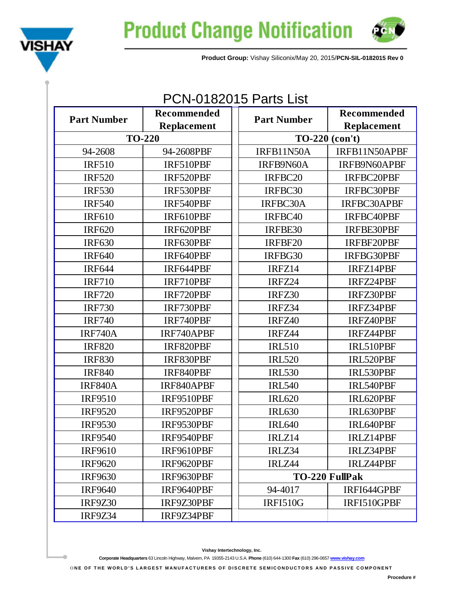



**Product Group:** Vishay Siliconix/May 20, 2015/**PCN-SIL-0182015 Rev 0**

## PCN-0182015 Parts List

| <b>Part Number</b> | Recommended                       | <b>Part Number</b> | Recommended           |  |
|--------------------|-----------------------------------|--------------------|-----------------------|--|
|                    | Replacement                       |                    | Replacement           |  |
|                    | <b>TO-220</b><br>$TO-220$ (con't) |                    |                       |  |
| 94-2608            | 94-2608PBF                        | IRFB11N50A         | IRFB11N50APBF         |  |
| <b>IRF510</b>      | IRF510PBF                         | IRFB9N60A          | IRFB9N60APBF          |  |
| <b>IRF520</b>      | IRF520PBF                         | IRFBC20            | IRFBC20PBF            |  |
| <b>IRF530</b>      | IRF530PBF                         | IRFBC30            | <b>IRFBC30PBF</b>     |  |
| <b>IRF540</b>      | IRF540PBF                         | IRFBC30A           | IRFBC30APBF           |  |
| <b>IRF610</b>      | IRF610PBF                         | IRFBC40            | IRFBC40PBF            |  |
| <b>IRF620</b>      | IRF620PBF                         | IRFBE30            | IRFBE30PBF            |  |
| <b>IRF630</b>      | IRF630PBF                         | IRFBF20            | IRFBF20PBF            |  |
| <b>IRF640</b>      | IRF640PBF                         | IRFBG30            | IRFBG30PBF            |  |
| <b>IRF644</b>      | IRF644PBF                         | IRFZ14             | IRFZ14PBF             |  |
| <b>IRF710</b>      | IRF710PBF                         | IRFZ24             | IRFZ24PBF             |  |
| <b>IRF720</b>      | IRF720PBF                         | IRFZ30             | IRFZ30PBF             |  |
| <b>IRF730</b>      | IRF730PBF                         | IRFZ34             | IRFZ34PBF             |  |
| <b>IRF740</b>      | IRF740PBF                         | IRFZ40             | IRFZ40PBF             |  |
| <b>IRF740A</b>     | IRF740APBF                        | IRFZ44             | IRFZ44PBF             |  |
| <b>IRF820</b>      | IRF820PBF                         | <b>IRL510</b>      | IRL510PBF             |  |
| <b>IRF830</b>      | IRF830PBF                         | <b>IRL520</b>      | IRL520PBF             |  |
| <b>IRF840</b>      | IRF840PBF                         | <b>IRL530</b>      | IRL530PBF             |  |
| <b>IRF840A</b>     | IRF840APBF                        | <b>IRL540</b>      | IRL540PBF             |  |
| <b>IRF9510</b>     | IRF9510PBF                        | <b>IRL620</b>      | IRL620PBF             |  |
| <b>IRF9520</b>     | IRF9520PBF                        | <b>IRL630</b>      | IRL630PBF             |  |
| <b>IRF9530</b>     | IRF9530PBF                        | <b>IRL640</b>      | IRL640PBF             |  |
| <b>IRF9540</b>     | IRF9540PBF                        | IRLZ14             | <b>IRLZ14PBF</b>      |  |
| <b>IRF9610</b>     | IRF9610PBF                        | IRLZ34             | <b>IRLZ34PBF</b>      |  |
| <b>IRF9620</b>     | IRF9620PBF                        | IRLZ44             | <b>IRLZ44PBF</b>      |  |
| <b>IRF9630</b>     | IRF9630PBF                        |                    | <b>TO-220 FullPak</b> |  |
| <b>IRF9640</b>     | IRF9640PBF                        | 94-4017            | IRFI644GPBF           |  |
| <b>IRF9Z30</b>     | IRF9Z30PBF                        | <b>IRFI510G</b>    | IRFI510GPBF           |  |
| <b>IRF9Z34</b>     | IRF9Z34PBF                        |                    |                       |  |

**Corporate Headquarters** 63 Lincoln Highway, Malvern, PA 19355-2143 U.S.A. **Phone** (610) 644-1300 **Fax** (610) 296-0657 **[www.vishay.com](http://www.vishay.com/)**

ONE OF THE WORLD'S LARGEST MANUFACTURERS OF DISCRETE SEMICONDUCTORS AND PASSIVE COMPONENT